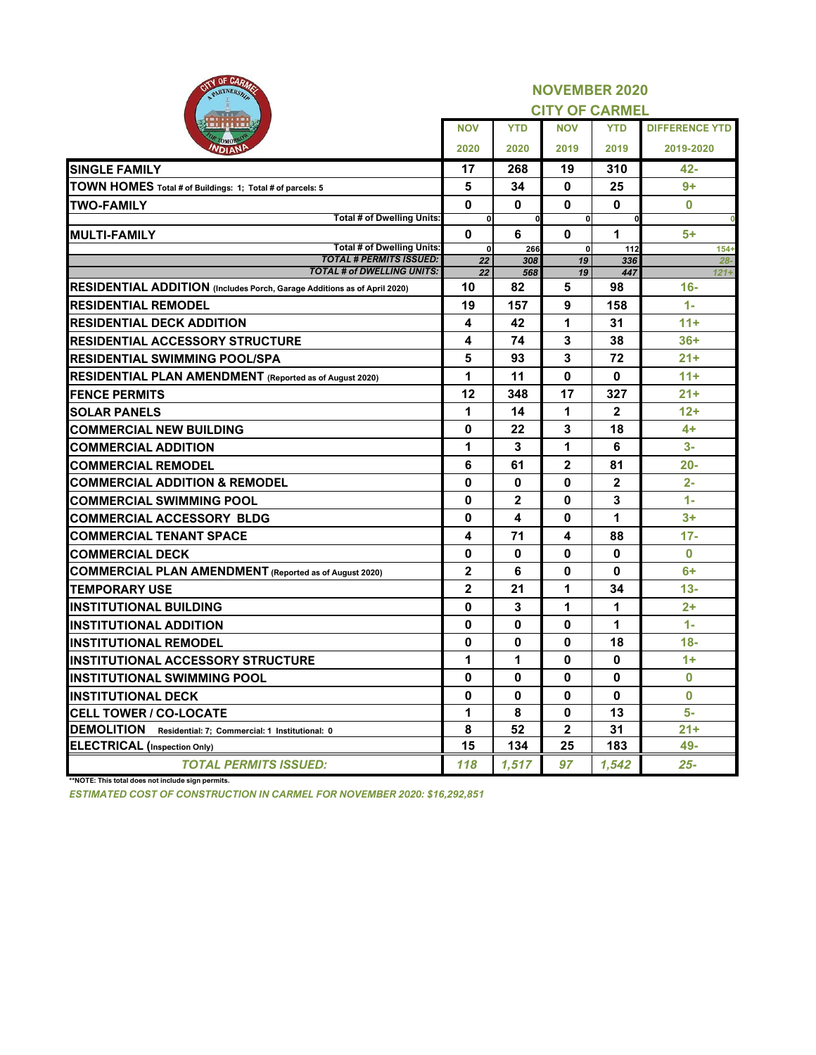| CITY OF CARLO<br>PARTNERSHIP                                             |                    |                | <b>NOVEMBER 2020</b>  |                |                       |
|--------------------------------------------------------------------------|--------------------|----------------|-----------------------|----------------|-----------------------|
|                                                                          |                    |                | <b>CITY OF CARMEL</b> |                |                       |
| <b>.</b>                                                                 | <b>NOV</b>         | <b>YTD</b>     | <b>NOV</b>            | <b>YTD</b>     | <b>DIFFERENCE YTD</b> |
| <b>Омов</b><br><b>NDIAN</b>                                              | 2020               | 2020           | 2019                  | 2019           | 2019-2020             |
| <b>SINGLE FAMILY</b>                                                     | 17                 | 268            | 19                    | 310            | $42 -$                |
| TOWN HOMES Total # of Buildings: 1; Total # of parcels: 5                | 5                  | 34             | 0                     | 25             | $9+$                  |
| <b>TWO-FAMILY</b>                                                        | $\bf{0}$           | 0              | 0                     | 0              | $\bf{0}$              |
| <b>Total # of Dwelling Units:</b>                                        | $\bf{0}$           | <sub>0</sub>   | $\mathbf{0}$          | <sup>0</sup>   |                       |
| <b>MULTI-FAMILY</b>                                                      | $\bf{0}$           | 6              | 0                     | 1              | $5+$                  |
| <b>Total # of Dwelling Units:</b><br><b>TOTAL # PERMITS ISSUED:</b>      | $\mathbf{0}$<br>22 | 266<br>308     | $\Omega$<br>19        | 112<br>336     | $154+$<br>$28 -$      |
| <b>TOTAL # of DWELLING UNITS:</b>                                        | 22                 | 568            | 19                    | 447            | $121 +$               |
| RESIDENTIAL ADDITION (Includes Porch, Garage Additions as of April 2020) | 10                 | 82             | 5                     | 98             | $16-$                 |
| <b>RESIDENTIAL REMODEL</b>                                               | 19                 | 157            | 9                     | 158            | $1 -$                 |
| <b>RESIDENTIAL DECK ADDITION</b>                                         | 4                  | 42             | 1                     | 31             | $11+$                 |
| <b>RESIDENTIAL ACCESSORY STRUCTURE</b>                                   | 4                  | 74             | 3                     | 38             | $36+$                 |
| <b>RESIDENTIAL SWIMMING POOL/SPA</b>                                     | 5                  | 93             | 3                     | 72             | $21+$                 |
| <b>RESIDENTIAL PLAN AMENDMENT</b> (Reported as of August 2020)           | 1                  | 11             | 0                     | 0              | $11 +$                |
| <b>FENCE PERMITS</b>                                                     | 12                 | 348            | 17                    | 327            | $21+$                 |
| <b>SOLAR PANELS</b>                                                      | 1                  | 14             | 1                     | $\overline{2}$ | $12+$                 |
| <b>COMMERCIAL NEW BUILDING</b>                                           | 0                  | 22             | 3                     | 18             | $4+$                  |
| <b>COMMERCIAL ADDITION</b>                                               | 1                  | 3              | 1                     | 6              | $3-$                  |
| <b>COMMERCIAL REMODEL</b>                                                | 6                  | 61             | $\overline{2}$        | 81             | $20 -$                |
| <b>COMMERCIAL ADDITION &amp; REMODEL</b>                                 | 0                  | 0              | $\bf{0}$              | $\overline{2}$ | $2 -$                 |
| <b>COMMERCIAL SWIMMING POOL</b>                                          | 0                  | $\overline{2}$ | $\bf{0}$              | 3              | $1 -$                 |
| <b>COMMERCIAL ACCESSORY BLDG</b>                                         | 0                  | 4              | 0                     | 1              | $3+$                  |
| <b>COMMERCIAL TENANT SPACE</b>                                           | 4                  | 71             | 4                     | 88             | $17 -$                |
| <b>COMMERCIAL DECK</b>                                                   | 0                  | $\mathbf{0}$   | $\mathbf{0}$          | $\mathbf{0}$   | $\bf{0}$              |
| <b>COMMERCIAL PLAN AMENDMENT</b> (Reported as of August 2020)            | $\overline{2}$     | 6              | 0                     | $\mathbf{0}$   | $6+$                  |
| <b>TEMPORARY USE</b>                                                     | $\mathbf{2}$       | 21             | 1                     | 34             | $13 -$                |
| <b>INSTITUTIONAL BUILDING</b>                                            | 0                  | 3              | 1                     | 1              | $2+$                  |
| <b>INSTITUTIONAL ADDITION</b>                                            | $\mathbf{0}$       | $\mathbf 0$    | 0                     | 1              | $1 -$                 |
| <b>INSTITUTIONAL REMODEL</b>                                             | 0                  | 0              | $\mathbf 0$           | 18             | $18-$                 |
| <b>IINSTITUTIONAL ACCESSORY STRUCTURE</b>                                | 1                  | 1              | 0                     | $\mathbf 0$    | $1+$                  |
| <b>INSTITUTIONAL SWIMMING POOL</b>                                       | 0                  | 0              | 0                     | 0              | $\bf{0}$              |
| <b>INSTITUTIONAL DECK</b>                                                | 0                  | 0              | 0                     | 0              | $\bf{0}$              |
| <b>CELL TOWER / CO-LOCATE</b>                                            | 1                  | 8              | $\mathbf{0}$          | 13             | 5-                    |
| <b>DEMOLITION</b><br>Residential: 7; Commercial: 1 Institutional: 0      | 8                  | 52             | 2 <sup>1</sup>        | 31             | $21 +$                |
| <b>ELECTRICAL</b> (Inspection Only)                                      | 15                 | 134            | 25                    | 183            | 49-                   |
| <b>TOTAL PERMITS ISSUED:</b>                                             | 118                | 1,517          | 97                    | 1,542          | $25 -$                |

**\*\*NOTE: This total does not include sign permits.**

*ESTIMATED COST OF CONSTRUCTION IN CARMEL FOR NOVEMBER 2020: \$16,292,851*

CITY OF CARLOS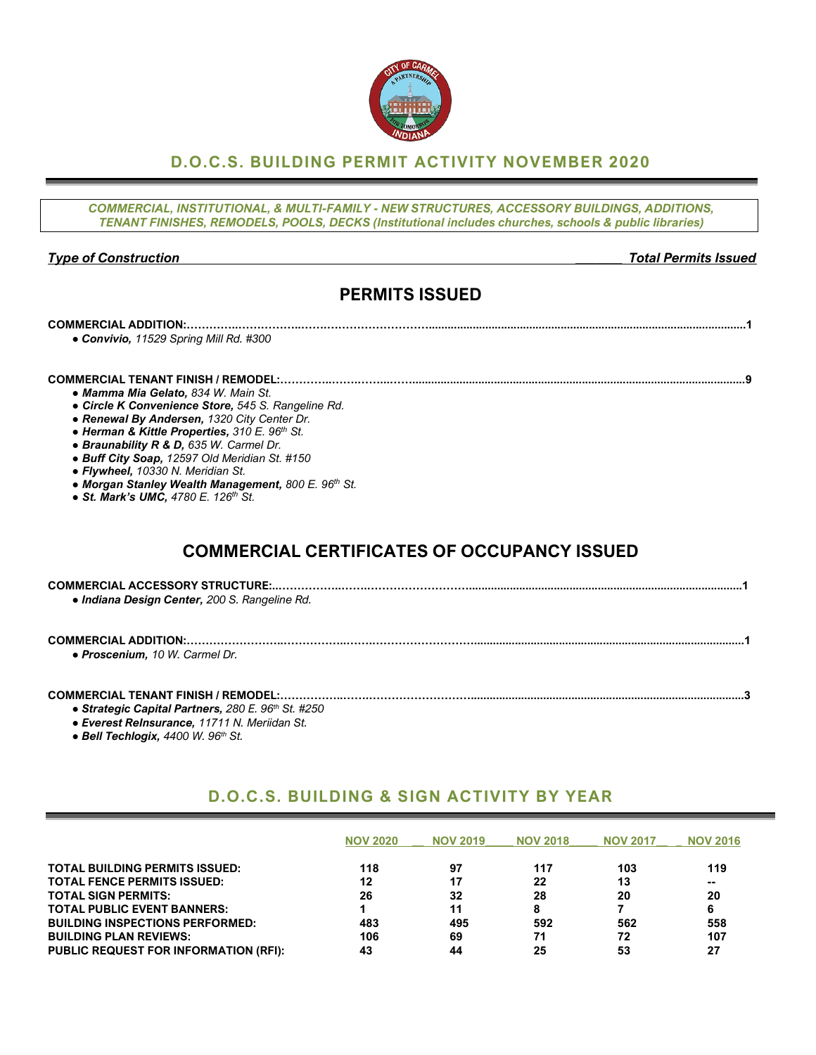### **D.O.C.S. BUILDING PERMIT ACTIVITY NOVEMBER 2020**

*COMMERCIAL, INSTITUTIONAL, & MULTI-FAMILY - NEW STRUCTURES, ACCESSORY BUILDINGS, ADDITIONS, TENANT FINISHES, REMODELS, POOLS, DECKS (Institutional includes churches, schools & public libraries)*

#### *Type of Construction \_\_\_\_\_\_\_ Total Permits Issued*

## **PERMITS ISSUED**

## **COMMERCIAL ADDITION:…………..……………..…….……………………….....................................................................................................1** *● Convivio, 11529 Spring Mill Rd. #300* **COMMERCIAL TENANT FINISH / REMODEL:…………..…….……...……..........................................................................................................9** *● Mamma Mia Gelato, 834 W. Main St.*

- 
- *● Circle K Convenience Store, 545 S. Rangeline Rd.*
- *● Renewal By Andersen, 1320 City Center Dr.*
- *● Herman & Kittle Properties, 310 E. 96th St.*
- *● Braunability R & D, 635 W. Carmel Dr.*
- *● Buff City Soap, 12597 Old Meridian St. #150*
- *● Flywheel, 10330 N. Meridian St.*
- *● Morgan Stanley Wealth Management, 800 E. 96th St.*
- *● St. Mark's UMC, 4780 E. 126th St.*

# **COMMERCIAL CERTIFICATES OF OCCUPANCY ISSUED**

#### **COMMERCIAL TENANT FINISH / REMODEL:……………..…….……………………….......................................................................................3**

- *● Strategic Capital Partners, 280 E. 96th St. #250*
- *● Everest ReInsurance, 11711 N. Meriidan St.*
- *● Bell Techlogix, 4400 W. 96th St.*

### **D.O.C.S. BUILDING & SIGN ACTIVITY BY YEAR**

|                                              | <b>NOV 2020</b> | <b>NOV 2019</b> | <b>NOV 2018</b> | <b>NOV 2017</b> | <b>NOV 2016</b> |
|----------------------------------------------|-----------------|-----------------|-----------------|-----------------|-----------------|
| <b>TOTAL BUILDING PERMITS ISSUED:</b>        | 118             | 97              | 117             | 103             | 119             |
| <b>TOTAL FENCE PERMITS ISSUED:</b>           | 12              | 17              | 22              | 13              | --              |
| <b>TOTAL SIGN PERMITS:</b>                   | 26              | 32              | 28              | 20              | 20              |
| <b>TOTAL PUBLIC EVENT BANNERS:</b>           |                 | 11              |                 |                 | 6               |
| <b>BUILDING INSPECTIONS PERFORMED:</b>       | 483             | 495             | 592             | 562             | 558             |
| <b>BUILDING PLAN REVIEWS:</b>                | 106             | 69              | 71              | 72              | 107             |
| <b>PUBLIC REQUEST FOR INFORMATION (RFI):</b> | 43              | 44              | 25              | 53              | 27              |

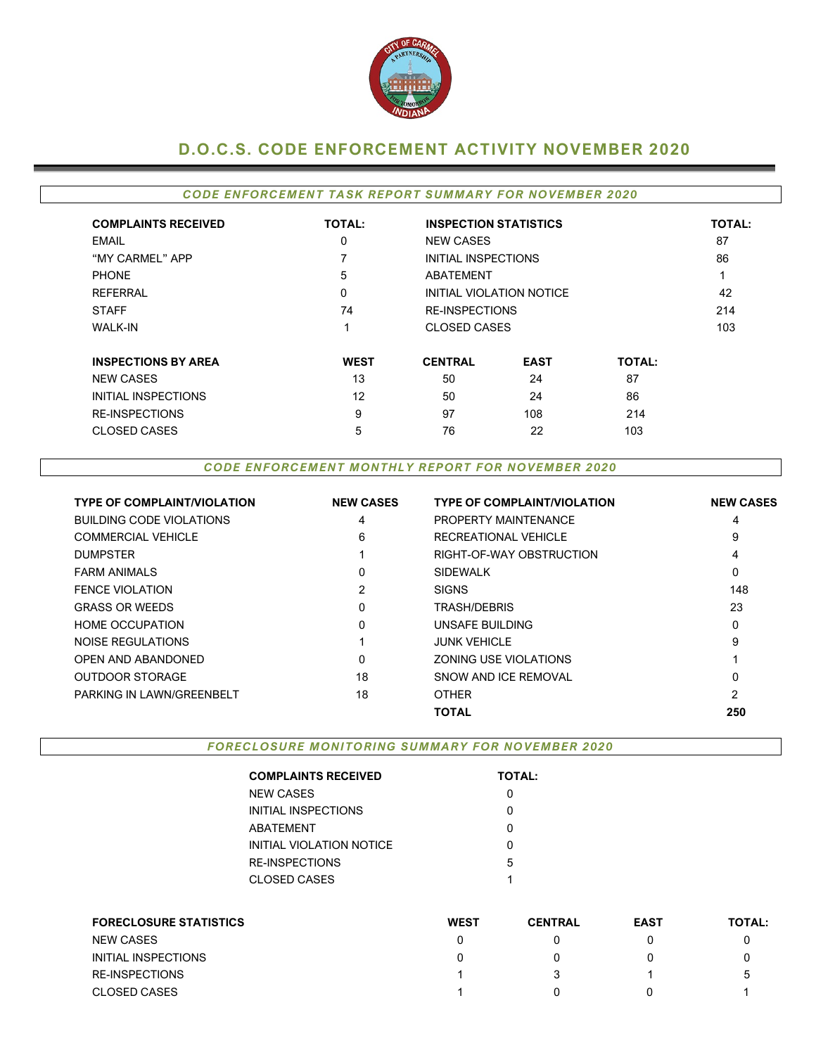

## **D.O.C.S. CODE ENFORCEMENT ACTIVITY NOVEMBER 2020**

#### *CODE ENFORCEMENT TASK REPORT SUMMARY FOR NOVEMBER 2020*

| <b>COMPLAINTS RECEIVED</b> | <b>TOTAL:</b> | <b>INSPECTION STATISTICS</b> | <b>TOTAL:</b>            |               |     |
|----------------------------|---------------|------------------------------|--------------------------|---------------|-----|
| EMAIL                      | 0             | <b>NEW CASES</b>             | 87                       |               |     |
| "MY CARMEL" APP            |               |                              |                          |               | 86  |
| <b>PHONE</b>               | 5             |                              |                          |               |     |
| <b>REFERRAL</b>            | 0             |                              | INITIAL VIOLATION NOTICE |               | 42  |
| <b>STAFF</b>               | 74            | <b>RE-INSPECTIONS</b>        |                          |               | 214 |
| <b>WALK-IN</b>             |               | <b>CLOSED CASES</b>          |                          |               | 103 |
| <b>INSPECTIONS BY AREA</b> | <b>WEST</b>   | <b>CENTRAL</b>               | <b>EAST</b>              | <b>TOTAL:</b> |     |
| <b>NEW CASES</b>           | 13            | 50                           | 24                       | 87            |     |
| INITIAL INSPECTIONS        | 12            | 50                           | 24                       | 86            |     |
| <b>RE-INSPECTIONS</b>      | 9             | 97                           | 108                      | 214           |     |
| <b>CLOSED CASES</b>        | 5             | 76                           | 22                       | 103           |     |

#### *CODE ENFORCEMENT MONTHLY REPORT FOR NOVEMBER 2020*

| <b>TYPE OF COMPLAINT/VIOLATION</b> | <b>NEW CASES</b> | <b>TYPE OF COMPLAINT/VIOLATION</b> | <b>NEW CASES</b> |
|------------------------------------|------------------|------------------------------------|------------------|
| <b>BUILDING CODE VIOLATIONS</b>    | 4                | PROPERTY MAINTENANCE               | 4                |
| <b>COMMERCIAL VEHICLE</b>          | 6                | RECREATIONAL VEHICLE               | 9                |
| <b>DUMPSTER</b>                    |                  | RIGHT-OF-WAY OBSTRUCTION           | 4                |
| <b>FARM ANIMALS</b>                | 0                | <b>SIDEWALK</b>                    | 0                |
| <b>FENCE VIOLATION</b>             | 2                | <b>SIGNS</b>                       | 148              |
| <b>GRASS OR WEEDS</b>              | 0                | TRASH/DEBRIS                       | 23               |
| <b>HOME OCCUPATION</b>             | 0                | UNSAFE BUILDING                    | 0                |
| NOISE REGULATIONS                  |                  | <b>JUNK VEHICLE</b>                | 9                |
| OPEN AND ABANDONED                 | 0                | ZONING USE VIOLATIONS              |                  |
| <b>OUTDOOR STORAGE</b>             | 18               | SNOW AND ICE REMOVAL               | 0                |
| PARKING IN LAWN/GREENBELT          | 18               | <b>OTHER</b>                       | 2                |
|                                    |                  | <b>TOTAL</b>                       | 250              |

*FORECLOSURE MONITORING SUMMARY FOR NOVEMBER 2020*

| <b>COMPLAINTS RECEIVED</b> | <b>TOTAL:</b> |
|----------------------------|---------------|
| NEW CASES                  |               |
| INITIAL INSPECTIONS        |               |
| ABATEMENT                  | O             |
| INITIAL VIOLATION NOTICE   |               |
| RE-INSPECTIONS             | 5             |
| CLOSED CASES               | 1             |
|                            |               |

| <b>FORECLOSURE STATISTICS</b> | <b>WEST</b> | <b>CENTRAL</b> | <b>EAST</b> | <b>TOTAL:</b> |
|-------------------------------|-------------|----------------|-------------|---------------|
| <b>NEW CASES</b>              |             |                |             |               |
| INITIAL INSPECTIONS           |             |                |             |               |
| RE-INSPECTIONS                |             |                |             | b.            |
| <b>CLOSED CASES</b>           |             | $^{\circ}$     |             |               |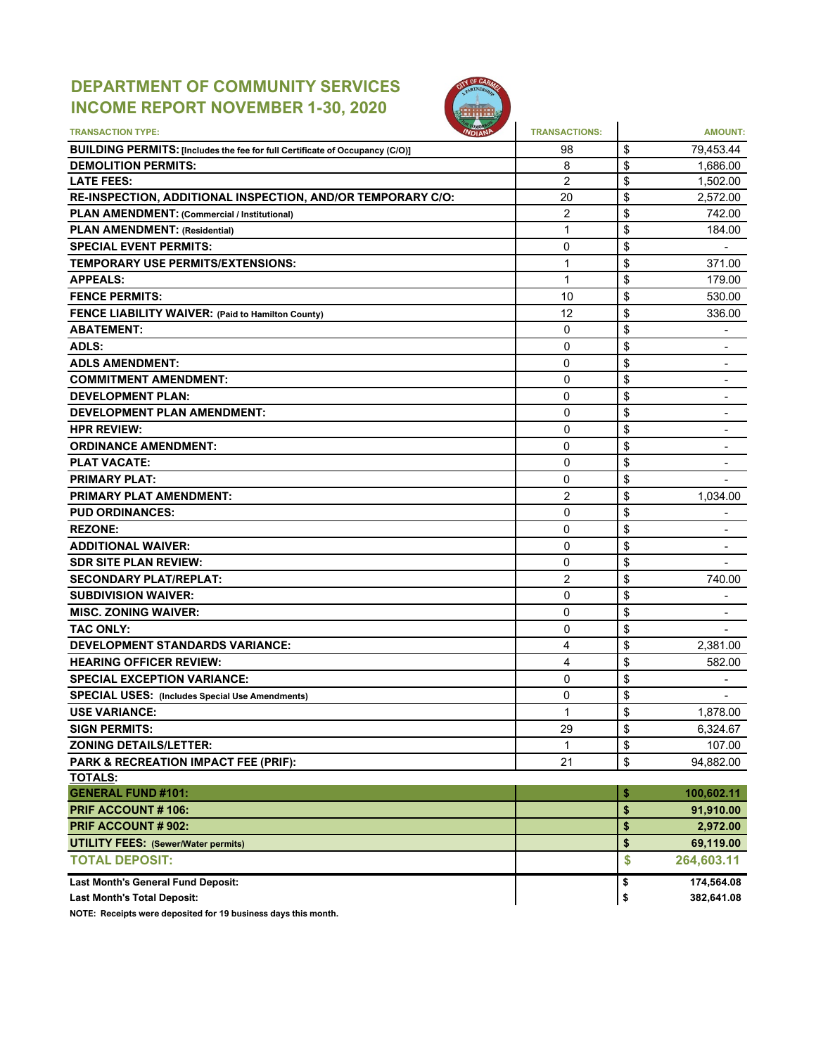# **DEPARTMENT OF COMMUNITY SERVICES INCOME REPORT NOVEMBER 1-30, 2020**



| <b>TRANSACTION TYPE:</b>                                                     | <b>TRANSACTIONS:</b> | <b>AMOUNT:</b>                     |
|------------------------------------------------------------------------------|----------------------|------------------------------------|
| BUILDING PERMITS: [Includes the fee for full Certificate of Occupancy (C/O)] | 98                   | \$<br>79,453.44                    |
| <b>DEMOLITION PERMITS:</b>                                                   | 8                    | \$<br>1,686.00                     |
| <b>LATE FEES:</b>                                                            | $\overline{2}$       | \$<br>1,502.00                     |
| RE-INSPECTION, ADDITIONAL INSPECTION, AND/OR TEMPORARY C/O:                  | 20                   | \$<br>2,572.00                     |
| PLAN AMENDMENT: (Commercial / Institutional)                                 | $\overline{2}$       | \$<br>742.00                       |
| <b>PLAN AMENDMENT: (Residential)</b>                                         | 1                    | \$<br>184.00                       |
| <b>SPECIAL EVENT PERMITS:</b>                                                | 0                    | \$                                 |
| TEMPORARY USE PERMITS/EXTENSIONS:                                            | 1                    | \$<br>371.00                       |
| <b>APPEALS:</b>                                                              | 1                    | \$<br>179.00                       |
| <b>FENCE PERMITS:</b>                                                        | 10                   | \$<br>530.00                       |
| FENCE LIABILITY WAIVER: (Paid to Hamilton County)                            | 12                   | \$<br>336.00                       |
| <b>ABATEMENT:</b>                                                            | 0                    | \$<br>۰                            |
| ADLS:                                                                        | 0                    | \$                                 |
| <b>ADLS AMENDMENT:</b>                                                       | 0                    | \$                                 |
| <b>COMMITMENT AMENDMENT:</b>                                                 | 0                    | \$                                 |
| <b>DEVELOPMENT PLAN:</b>                                                     | $\mathbf 0$          | \$<br>-                            |
| <b>DEVELOPMENT PLAN AMENDMENT:</b>                                           | 0                    | \$                                 |
| <b>HPR REVIEW:</b>                                                           | $\Omega$             | \$<br>۰                            |
| <b>ORDINANCE AMENDMENT:</b>                                                  | 0                    | \$                                 |
| <b>PLAT VACATE:</b>                                                          | $\Omega$             | \$<br>$\overline{\phantom{0}}$     |
| <b>PRIMARY PLAT:</b>                                                         | 0                    | \$                                 |
| <b>PRIMARY PLAT AMENDMENT:</b>                                               | $\overline{2}$       | \$<br>1,034.00                     |
| <b>PUD ORDINANCES:</b>                                                       | $\Omega$             | \$<br>$\qquad \qquad \blacksquare$ |
| <b>REZONE:</b>                                                               | 0                    | \$<br>$\overline{\phantom{a}}$     |
| <b>ADDITIONAL WAIVER:</b>                                                    | $\Omega$             | \$<br>$\overline{\phantom{a}}$     |
| <b>SDR SITE PLAN REVIEW:</b>                                                 | 0                    | \$                                 |
| <b>SECONDARY PLAT/REPLAT:</b>                                                | $\overline{2}$       | \$<br>740.00                       |
| <b>SUBDIVISION WAIVER:</b>                                                   | $\Omega$             | \$                                 |
| <b>MISC. ZONING WAIVER:</b>                                                  | 0                    | \$<br>$\overline{\phantom{a}}$     |
| <b>TAC ONLY:</b>                                                             | 0                    | \$                                 |
| <b>DEVELOPMENT STANDARDS VARIANCE:</b>                                       | 4                    | \$<br>2,381.00                     |
| <b>HEARING OFFICER REVIEW:</b>                                               | 4                    | \$<br>582.00                       |
| <b>SPECIAL EXCEPTION VARIANCE:</b>                                           | 0                    | \$                                 |
| <b>SPECIAL USES: (Includes Special Use Amendments)</b>                       | 0                    | \$                                 |
| <b>USE VARIANCE:</b>                                                         | 1                    | \$<br>1,878.00                     |
| <b>SIGN PERMITS:</b>                                                         | 29                   | \$<br>6,324.67                     |
| <b>ZONING DETAILS/LETTER:</b>                                                | 1                    | \$<br>107.00                       |
| PARK & RECREATION IMPACT FEE (PRIF):                                         | 21                   | \$<br>94,882.00                    |
| <b>TOTALS:</b>                                                               |                      |                                    |
| <b>GENERAL FUND #101:</b>                                                    |                      | \$<br>100,602.11                   |
| PRIF ACCOUNT #106:                                                           |                      | \$<br>91,910.00                    |
| PRIF ACCOUNT # 902:                                                          |                      | \$<br>2,972.00                     |
| <b>UTILITY FEES: (Sewer/Water permits)</b>                                   |                      | \$<br>69,119.00                    |
| <b>TOTAL DEPOSIT:</b>                                                        |                      | \$<br>264,603.11                   |
| <b>Last Month's General Fund Deposit:</b>                                    |                      | \$<br>174,564.08                   |
| <b>Last Month's Total Deposit:</b>                                           |                      | \$<br>382,641.08                   |

**NOTE: Receipts were deposited for 19 business days this month.**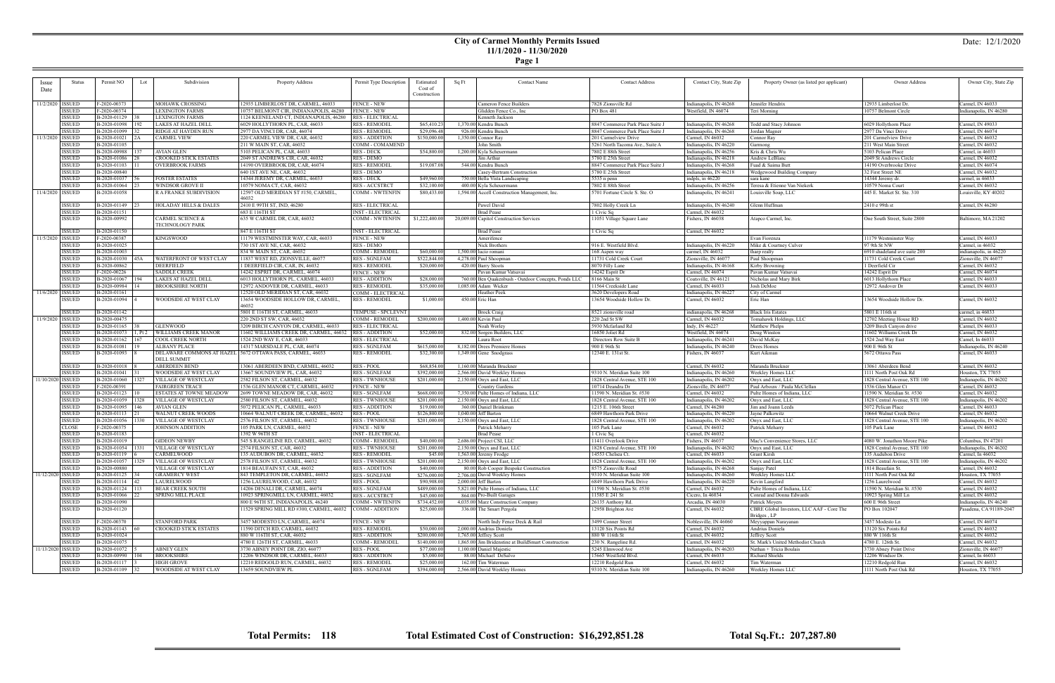#### **City of Carmel Monthly Permits Issued 11/1/2020 - 11/30/2020**

**Page 1**

| Issue              | Status                         | Permit NO<br>Lot       | Subdivision                                     | Property Address                            | Permit Type Description  | Estimated      | <b>Contact Name</b><br>Sq Ft                        | <b>Contact Address</b>           | Contact City, State Zip | Property Owner (as listed per applicant)  | Owner Address                | Owner City, State Zip                 |
|--------------------|--------------------------------|------------------------|-------------------------------------------------|---------------------------------------------|--------------------------|----------------|-----------------------------------------------------|----------------------------------|-------------------------|-------------------------------------------|------------------------------|---------------------------------------|
|                    |                                |                        |                                                 |                                             |                          | Cost of        |                                                     |                                  |                         |                                           |                              |                                       |
| Date               |                                |                        |                                                 |                                             |                          | Construction   |                                                     |                                  |                         |                                           |                              |                                       |
|                    |                                |                        |                                                 |                                             |                          |                |                                                     |                                  |                         |                                           |                              |                                       |
|                    | 11/2/2020   ISSUED             | F-2020-00373           | MOHAWK CROSSING                                 | 12935 LIMBERLOST DR. CARMEL. 46033          | <b>FENCE - NEW</b>       |                | Cameron Fence Builders                              | 7828 Zionsville Rd               | Indianapolis, IN 46268  | Jennifer Hendrix                          | 12935 Limberlost Dr.         | Carmel, IN 46033                      |
|                    | <b>ISSUED</b>                  | F-2020-00374           | <b>EXINGTON FARMS</b>                           | 10757 BELMONT CIR, INDIANAPOLIS, 46280      | <b>FENCE - NEW</b>       |                | Glidden Fence Co., Inc                              | PO Box 481                       | Westfield, IN 46074     | Teri Morning                              | 10757 Belmont Circle         | Indianapolis, IN 46280                |
|                    | <b>ISSUED</b>                  | B-2020-01129           | <b>LEXINGTON FARMS</b>                          | 1124 KEENELAND CT, INDIANAPOLIS, 46280      | <b>RES - ELECTRICAL</b>  |                | Kenneth Jackson                                     |                                  |                         |                                           |                              |                                       |
|                    | <b>ISSUED</b>                  | B-2020-01098<br>192    | LAKES AT HAZEL DELL                             | 6029 HOLLYTHORN PL, CAR, 46033              | <b>RES - REMODEI</b>     | \$65,410.23    | 1.370.00 Kendra Bunch                               | 8847 Commerce Park Place Suite J | Indianapolis, IN 46268  | Todd and Stacy Johnson                    | 6029 Hollythorn Place        | Carmel, IN 49033                      |
|                    | <b>ISSUED</b>                  | B-2020-01099           | RIDGE AT HAYDEN RUN                             | 2977 DA VINCI DR, CAR, 46074                | <b>RES - REMODEI</b>     | \$29,096.48    | 926.00 Kendra Bunch                                 | 8847 Commerce Park Place Suite J | Indianapolis, IN 46268  | Jordan Magner                             | 2977 Da Vinci Drive          | Carmel, IN 46074                      |
| 11/3/2020   ISSUED |                                | B-2020-01021           | CARMEL VIEW                                     | 220 CARMEL VIEW DR, CAR, 46032              | <b>RES - ADDITION</b>    | \$150,000.00   | 1,350.00 Connor Ray                                 | 201 Carmelview Drive             | Carmel, IN 46032        | Connor Ray                                | 201 Carmelview Drive         | Carmel, IN 46032                      |
|                    | <b>ISSUED</b>                  | B-2020-01105           |                                                 | 211 W MAIN ST, CAR, 46032                   | COMM - COMAMEND          |                | John Smith                                          | 5261 North Tacoma Ave., Suite A  | Indianapolis, IN 46220  | Garmong                                   | 211 West Main Street         | Carmel, IN 46032                      |
|                    | <b>ISSUED</b>                  | B-2020-00988<br>137    | AVIAN GLEN                                      | 5103 PELICAN PL, CAR, 46033                 | <b>RES - DECK</b>        | \$54,800.00    | 1,200.00 Kyla Scheuermann                           | 7802 E 88th Street               | Indianapolis, IN 46256  | Kris & Chris Wu                           | 5103 Pelican Place           | Carmel, in 46033                      |
|                    | <b>ISSUED</b>                  | B-2020-01086           | CROOKED STICK ESTATES                           | 2049 ST ANDREWS CIR, CAR, 46032             | RES - DEMO               |                | Jim Arthur                                          | 5780 E 25th Street               | Indianapolis, IN 46218  | Andrew LeBlanc                            | 2049 St Andrews Circle       | Carmel, IN 46032                      |
|                    | <b>ISSUED</b>                  | B-2020-01103           | OVERBROOK FARMS                                 | 14190 OVERBROOK DR. CAR. 46074              | <b>RES - REMODEI</b>     | \$19,087.08    | 544.00 Kendra Bunch                                 | 8847 Commerce Park Place Suite J | Indianapolis, IN 46268  | Fuad & Saima Butt                         | 14190 Overbrooke Drive       | Carmel, IN 46074                      |
|                    | <b>ISSUED</b>                  | B-2020-00840           |                                                 | 640 1ST AVE NE, CAR, 46032                  | <b>RES - DEMO</b>        |                | Casey-Bertram Construction                          | 5780 E 25th Street               | Indianapolis, IN 46218  | Wedgewood Building Company                | 32 First Street NE           | Carmel, IN 46032                      |
|                    |                                |                        |                                                 |                                             |                          |                |                                                     |                                  |                         |                                           |                              |                                       |
|                    | <b>ISSUED</b>                  | B-2020-01037           | <b>FOSTER ESTATES</b>                           | 14344 JEREMY DR, CARMEL, 46033              | <b>RES - DECK</b>        | \$49,960.00    | 750.00 Bella Vista Landscaping                      | 5535 n penn                      | indpls, in 46220        | sara kane                                 | 14344 Jeremy dr.             | carmel, in 46033                      |
|                    | <b>ISSUED</b>                  | B-2020-01064           | WINDSOR GROVE II                                | 10579 NOMA CT, CAR, 46032                   | <b>RES-ACCSTRCT</b>      | \$32,100.00    | 400.00 Kyla Scheuermann                             | 7802 E 88th Street               | Indianapolis, IN 46256  | Teresa & Etienne Van Niekerk              | 10579 Noma Court             | Carmel, IN 46032                      |
|                    | 11/4/2020   ISSUED             | B-2020-01058           | R A FRANKE SUBDIVISION                          | 12597 OLD MERIDIAN ST #150, CARMEL<br>16032 | COMM - NWTENFIN          | \$80,433.00    | 1,594.00 Accell Construction Management, Inc.       | 5701 Fortune Circle S. Ste. O    | Indianapolis, IN 46241  | Louisville Soap, LLC                      | 445 E. Market St. Ste. 310   | ouisville, KY 40202                   |
|                    | ISSUED                         | B-2020-01149           | HOLADAY HILLS & DALES                           | 2410 E 99TH ST, IND, 46280                  | <b>RES - ELECTRICAL</b>  |                | Pawel David                                         | 7802 Holly Creek Ln              | Indianapolis, IN 46240  | Glenn Huffman                             | 2410 e 99th st               | Carmel, IN 46280                      |
|                    | <b>ISSUED</b>                  | B-2020-01151           |                                                 | 683 E 116TH ST                              | <b>INST - ELECTRICAL</b> |                | <b>Brad Pease</b>                                   | 1 Civic Sq                       | Carmel, IN 46032        |                                           |                              |                                       |
|                    | <b>ISSUED</b>                  | B-2020-00992           | CARMEL SCIENCE &                                | 635 W CARMEL DR, CAR, 46032                 | COMM - NWTENFIN          | \$1,222,400.00 | 20,009.00 Capitol Construction Services             | 11051 Village Square Lane        | Fishers, IN 46038       | Atapco Carmel, Inc.                       | One South Street, Suite 2800 | Baltimore, MA 21202                   |
|                    |                                |                        | TECHNOLOGY PARK                                 |                                             |                          |                |                                                     |                                  |                         |                                           |                              |                                       |
|                    | <b>ISSUED</b>                  | B-2020-01150           |                                                 | 847 E 116TH ST                              | <b>INST - ELECTRICAL</b> |                | <b>Brad Pease</b>                                   | l Civic Sq                       | Carmel, IN 46032        |                                           |                              |                                       |
|                    | 11/5/2020   ISSUED             | F-2020-00387           | KINGSWOOD                                       | 11179 WESTMINSTER WAY, CAR, 46033           | <b>FENCE - NEW</b>       |                | Amerifence                                          |                                  |                         | Evan Fiorenza                             | 11179 Westminster Way        | Carmel, IN 46033                      |
|                    | <b>ISSUED</b>                  | B-2020-01025           |                                                 | 730 1ST AVE NE, CAR, 46032                  | RES - DEMO               |                | Nick Brothers                                       | 916 E. Westfield Blvd.           | Indianapolis, IN 46220  | Mike & Courtney Culver                    | 97 9th St NW                 | Carmel, in 46032                      |
|                    | <b>ISSUED</b>                  | B-2020-01003           |                                                 | 834 W MAIN ST, CAR, 46032                   | COMM - REMODEI           | \$60,000.00    | 1,500.00 lucio romani                               | 168 Aspen way                    | carmel, IN 46032        | tharp realty                              | 6910 shadeland ave suite 200 | indianapolis, in 46220                |
|                    | <b>ISSUED</b>                  | B-2020-01030<br>45A    | WATERFRONT OF WEST CLAY                         | 11837 WEST RD, ZIONSVILLE, 46077            | <b>RES - SGNLFAM</b>     | \$522,844.00   | 4,278.00 Paul Shoopman                              | 11731 Cold Creek Court           | Zionsville, IN 46077    | Paul Shoopman                             | 11731 Cold Creek Court       | Zionsville, IN 46077                  |
|                    | <b>ISSUED</b>                  | B-2020-00862           | DEERFIELD                                       | 1 DEERFIELD CIR, CAR, IN, 46032             | <b>RES - REMODEI</b>     | \$20,000.00    | 420.00 Barry Stoots                                 | 8070 Filly Lane                  | Indianapolis, IN 46168  | Kirby Browning                            | 1 Deerfield Cir              | Carmel, IN 46032                      |
|                    | <b>ISSUED</b>                  | F-2020-00226           | <b>SADDLE CREEK</b>                             | 14242 ESPRIT DR, CARMEL, 46074              | <b>FENCE - NEW</b>       |                | Pavan Kumar Vatsavai                                | 14242 Esprit Dr                  |                         | Pavan Kumar Vatsavai                      |                              | Carmel, IN 46074                      |
|                    |                                |                        |                                                 |                                             |                          |                |                                                     |                                  | Carmel, IN 46074        |                                           | 14242 Esprit Dr              |                                       |
|                    | <b>ISSUED</b>                  | B-2020-01067<br>194    | LAKES AT HAZEL DELL                             | 6013 HOLLYTHORN PL, CARMEL, 46033           | <b>RES - ADDITION</b>    | \$28,000.00    | 760.00 Ben Quakenbush - Outdoor Concepts, Ponds LLC | 8166 Main St                     | Coatsville, IN 46121    | Nicholas and Mary Birk                    | 6013 Hollythorn Place        | Carmel, IN 46033                      |
|                    | <b>ISSUED</b>                  | B-2020-00984           | BROOKSHIRE NORTH                                | 12972 ANDOVER DR. CARMEL, 46033             | <b>RES - REMODEL</b>     | \$35,000.00    | 1,085.00 Adam Wicker                                | 11564 Creekside Lane             | Carmel, IN 46033        | Josh DeMoe                                | 12972 Andover Dr             | Carmel, IN 46033                      |
| 11/6/2020   ISSUED |                                | B-2020-01161           |                                                 | 12520 OLD MERIDIAN ST, CAR, 46032           | COMM - ELECTRICAL        |                | Heather Peek                                        | 3620 Developers Road             | Indianapolis, IN 46227  | City of Carmel                            |                              |                                       |
|                    | <b>ISSUED</b>                  | B-2020-01094           | WOODSIDE AT WEST CLAY                           | 13654 WOODSIDE HOLLOW DR, CARMEL<br>46032   | <b>RES - REMODEI</b>     | \$1,000.00     | 450.00 Eric Han                                     | 13654 Woodside Hollow Dr         | Carmel, IN 46032        | Eric Han                                  | 13654 Woodside Hollow Dr.    | Carmel, IN 46032                      |
|                    | <b>ISSUED</b>                  | B-2020-01142           |                                                 | 5801 E 116TH ST, CARMEL, 46033              | TEMPUSE - SPCLEVNT       |                | <b>Brock Craig</b>                                  | 8521 zionsville road             | indianapolis, IN 46268  | <b>Black Iris Estates</b>                 | 5801 E 116th st              | carmel, in 46033                      |
| 11/9/2020 ISSUED   |                                | B-2020-00475           |                                                 | 220 2ND ST SW, CAR, 46032                   | COMM - REMODEL           | \$200,000.00   | 1,400.00 Kevin Paul                                 | 220 2nd St SW                    | Carmel, IN 46032        | Tomahawk Holdings, LLC                    | 12702 Meeting House RD       | Carmel, IN 46032                      |
|                    | <b>ISSUED</b>                  | B-2020-01165           | <b>GLENWOOD</b>                                 | 3209 BIRCH CANYON DR, CARMEL, 46033         |                          |                | Noah Worley                                         | 5930 Mcfarland Rd                | Indy, IN 46227          | Matthew Phelps                            | 3209 Birch Canyon drive      | Carmel, IN 46033                      |
|                    |                                |                        |                                                 |                                             | <b>RES - ELECTRICAL</b>  |                |                                                     |                                  |                         |                                           |                              |                                       |
|                    | <b>ISSUED</b>                  | B-2020-01073<br>1, Pt2 | WILLIAMS CREEK MANOR                            | 11602 WILLIAMS CREEK DR, CARMEL, 46032      | <b>RES - ADDITION</b>    | \$52,000.00    | 832.00 Sorgen Builders, LLC                         | 16850 Joliet Rd                  | Westfield, IN 46074     | Doug Winston                              | 11602 Williams Creek Dr      | Carmel, IN 46032                      |
|                    | <b>ISSUED</b>                  | B-2020-01162<br>167    | COOL CREEK NORTH                                | 1524 2ND WAY E, CAR, 46033                  | <b>RES - ELECTRICAL</b>  |                | Laura Root                                          | Directors Row Suite B            | Indianapolis, IN 46241  | David McKay                               | 1524 2nd Way East            | Camel, In 46033                       |
|                    | <b>ISSUED</b>                  | B-2020-01081           | ALBANY PLACE                                    | 14317 MARSDALE PL, CAR, 46074               | <b>RES - SGNLFAM</b>     | \$615,000.00   | 8,182.00 Drees Premiere Homes                       | 900 E 96th St                    | Indianapolis, IN 46240  | Drees Homes                               | 900 E 96th St                | Indianapolis, IN 46240                |
|                    | <b>ISSUED</b>                  | B-2020-01093           | DELAWARE COMMONS AT HAZEL<br><b>DELL SUMMIT</b> | 5672 OTTAWA PASS, CARMEL, 46033             | <b>RES - REMODEI</b>     | \$32,300.00    | 1,349.00 Gene Snodgrass                             | 12340 E. 131st St.               | Fishers, IN 46037       | Kurt Aikman                               | 5672 Ottawa Pass             | Carmel, IN 46033                      |
|                    | <b>ISSUED</b>                  | B-2020-01018           | ABERDEEN BEND                                   | 13061 ABERDEEN BND, CARMEL, 46032           | <b>RES - POOL</b>        | \$68,854.00    | 1,160.00 Maranda Bruckner                           |                                  | Carmel, IN 46032        | Maranda Bruckner                          | 13061 Aberdeen Bend          | Carmel, IN 46032                      |
|                    |                                |                        |                                                 |                                             |                          |                |                                                     |                                  |                         |                                           |                              |                                       |
|                    | <b>ISSUED</b>                  | B-2020-01041           |                                                 |                                             |                          |                |                                                     |                                  |                         |                                           |                              |                                       |
| 11/10/2020 ISSUED  |                                |                        | WOODSIDE AT WEST CLAY                           | 13667 SOUNDVIEW PL, CAR, 46032              | <b>RES - SGNLFAM</b>     | \$392,000.00   | 2,566.00 David Weekley Homes                        | 9310 N. Meridian Suite 100       | Indianapolis, IN 46260  | Weekley Homes LLC                         | 1111 North Post Oak Rd       | Iouston, TX 77055                     |
|                    |                                | B-2020-01060<br>327    | VILLAGE OF WESTCLAY                             | 2582 FILSON ST, CARMEL, 46032               | <b>RES - TWNHOUSE</b>    | \$201,000.00   | 2,150.00 Onyx and East, LLC                         | 1828 Central Avenue, STE 100     | Indianapolis, IN 46202  | Onyx and East, LLC                        | 1828 Central Avenue, STE 100 | Indianapolis, IN 46202                |
|                    | <b>ISSUED</b>                  | F-2020-00391           | FAIRGREEN TRACE                                 | 1536 GLEN MANOR CT, CARMEL, 46032           | <b>FENCE - NEW</b>       |                | Country Gardens                                     | 10714 Deandra Dr                 | Zionsville, IN 46077    | Paul Arbouw / Paula McClellan             | 1536 Glen Manor Ct           | Carmel, IN 46032                      |
|                    | <b>ISSUED</b>                  | B-2020-01123           | ESTATES AT TOWNE MEADOW                         | 2699 TOWNE MEADOW DR, CAR, 46032            | <b>RES - SGNLFAM</b>     | \$668,000.00   | 7,350,00 Pulte Homes of Indiana, LLC                | 11590 N. Meridian St. #530       | Carmel, IN 46032        | Pulte Homes of Indiana, LLC               | 11590 N. Meridian St. #530   | Carmel, IN 46032                      |
|                    | <b>ISSUED</b>                  | B-2020-01059<br>1328   | VILLAGE OF WESTCLAY                             | 2580 FILSON ST, CARMEL, 46032               | <b>RES - TWNHOUSE</b>    | \$201,000.00   | 2,150.00 Onyx and East, LLC                         | 1828 Central Avenue, STE 100     | Indianapolis, IN 46202  | Onyx and East, LLC                        | 1828 Central Avenue, STE 100 | Indianapolis, IN 46202                |
|                    | <b>ISSUED</b>                  | B-2020-01095<br>46     | AVIAN GLEN                                      | 5072 PELICAN PL, CARMEL, 46033              | <b>RES - ADDITION</b>    | \$19,000.00    | 360.00 Daniel Brinkman                              | 1215 E. 106th Street             | Carmel, IN 46280        | Jim and Joann Leeds                       | 5072 Pelican Place           | Carmel, IN 46033                      |
|                    | <b>ISSUED</b>                  | B-2020-01113           | WALNUT CREEK WOODS                              | 10664 WALNUT CREEK DR, CARMEL, 46032        | <b>RES - POOL</b>        | \$126,800.00   |                                                     | 6849 Hawthorn Park Drive         | Indianapolis, IN 46220  | Jayne Palkowitz                           | 10664 Walnut Creek Drive     | Carmel, IN 46032                      |
|                    |                                |                        |                                                 |                                             |                          |                | 1,040.00 Jeff Barton                                |                                  |                         |                                           |                              |                                       |
|                    | <b>ISSUED</b>                  | B-2020-01056<br>1330   | VILLAGE OF WESTCLAY                             | 2576 FILSON ST, CARMEL, 46032               | <b>RES - TWNHOUSE</b>    | \$201,000.00   | 2,150.00 Onyx and East, LLC                         | 1828 Central Avenue, STE 100     | Indianapolis, IN 46202  | Onyx and East, LLC                        | 1828 Central Avenue, STE 100 | Indianapolis, IN 46202                |
|                    | <b>CLOSE</b>                   | F-2020-00375           | <b>JOHNSON ADDITION</b>                         | 105 PARK LN, CARMEL, 46032                  | <b>FENCE - NEW</b>       |                | Patrick Meharry                                     | 105 Park Lane                    | Carmel, IN 46032        | Patrick Meharry                           | 105 Park Lane                | Carmel, IN 46032                      |
|                    | <b>ISSUED</b>                  | B-2020-01183           |                                                 | 1392 W 96TH ST                              | <b>INST - ELECTRICAL</b> |                | <b>Brad Pease</b>                                   | 1 Civic Sq                       | Carmel, IN 46032        |                                           |                              |                                       |
|                    | <b>ISSUED</b>                  | B-2020-01019           | <b>GIDEON NEWBY</b>                             | 545 S RANGELINE RD, CARMEL, 46032           | COMM - REMODEL           | \$40,000.00    | 2,686.00 Project CSI, LLC                           | 11411 Overlook Drive             | Fishers, IN 46037       | Mac's Convenience Stores, LLC             | 4080 W. Jonathon Moore Pike  | Columbus, IN 47201                    |
|                    | <b>ISSUED</b>                  | B-2020-01054<br>  1331 | VILLAGE OF WESTCLAY                             | 2574 FILSON ST, CAR, 46032                  | RES - TWNHOUSE           | \$201,000.00   | 2,150.00 Onyx and East, LLC                         | 1828 Central Avenue, STE 100     | Indianapolis, IN 46202  | Onyx and East, LLC                        | 1828 Central Avenue, STE 100 | Indianapolis, IN 46202                |
|                    | <b>ISSUED</b>                  | B-2020-01119           | CARMELWOOD                                      | 135 AUDUBON DR, CARMEL, 46032               | <b>RES - REMODEL</b>     | \$45.00        | 1,563.00 Jeremy Frodge                              | 14553 Chelsea Ct.                | Carmel, IN 46033        | Grant Kirsh                               | 135 Audubon Drive            | Carmel, In 46032                      |
|                    | <b>ISSUED</b>                  | B-2020-01057   1329    | <b>VILLAGE OF WESTCLAY</b>                      | 2578 FILSON ST, CARMEL, 46032               | <b>RES - TWNHOUSE</b>    | \$201,000.00   | 2,150.00 Onyx and East, LLC                         | 1828 Central Avenue, STE 100     | Indianapolis, IN 46202  | Onyx and East, LLC                        | 1828 Central Avenue, STE 100 | Indianapolis, IN 46202                |
|                    | <b>ISSUED</b>                  | B-2020-00880           | <b>VILLAGE OF WESTCLAY</b>                      | 1814 BEAUFAIN ST, CAR, 46032                | <b>RES - ADDITION</b>    | \$40,000.00    | 80.00 Rob Cooper Bespoke Construction               | 8575 Zionsville Road             | Indianapolis, IN 46268  | Sanjay Patel                              | 1814 Beaufain St.            | Carmel, IN 46032                      |
| 11/12/2020 ISSUED  |                                | B-2020-01125 34        | <b>GRAMERCY WEST</b>                            | 843 TEMPLETON DR, CARMEL, 46032             | <b>RES - SGNLFAM</b>     | \$276,000.00   | 2,706.00 David Weekley Homes                        | 9310 N. Meridian Suite 100       | Indianapolis, IN 46260  | Weekley Homes LLC                         | 1111 North Post Oak Rd       |                                       |
|                    |                                |                        |                                                 | 1256 LAURELWOOD, CAR, 46032                 |                          |                |                                                     |                                  |                         |                                           |                              | Houston, TX 77055                     |
|                    | <b>ISSUED</b>                  | $B-2020-01114$   42    | LAURELWOOD                                      |                                             | RES - POOL               | \$90,908.00    | $2,000.00$ Jeff Barton                              | 6849 Hawthorn Park Drive         | Indianapolis, IN 46220  | Kevin Langford                            | 1256 Laurelwood              | Carmel, IN 46032                      |
|                    | <b>ISSUED</b>                  | B-2020-01124           | <b>BEAR CREEK SOUTH</b>                         | 14206 DENALI DR, CARMEL, 46074              | <b>RES - SGNLFAM</b>     | \$489,000.00   | 5,821.00 Pulte Homes of Indiana, LLC                | 11590 N. Meridian St. #530       | Carmel, IN 46032        | Pulte Homes of Indiana, LLC               | 11590 N. Meridian St. #530   | Carmel, IN 46032                      |
|                    | <b>ISSUED</b>                  | B-2020-01066           | <b>SPRING MILL PLACE</b>                        | 10923 SPRINGMILL LN, CARMEL, 46032          | <b>RES-ACCSTRCT</b>      | \$45,000.00    | 864.00 Pro-Built Garages                            | 11585 E 241 St                   | Cicero, In 46034        | Conrad and Donna Edwards                  | 10923 Spring Mill Ln         | Carmel, IN 46032                      |
|                    | <b>ISSUED</b>                  | B-2020-01090           |                                                 | 800 E 96TH ST, INDIANAPOLIS, 46240          | <b>COMM - NWTENFIN</b>   | \$734,452.00   | 4,035.00 Marz Construction Company                  | 26135 Anthony Rd.                | Arcadia, IN 46030       | Patrick Moyers                            | 600 E 96th Street            | Indianapolis, IN 46240                |
|                    | <b>ISSUED</b>                  | B-2020-01120           |                                                 | 11529 SPRING MILL RD #300, CARMEL, 46032    | COMM - ADDITION          | \$25,000.00    | 336.00 The Smart Pergola                            | 12958 Brighton Ave               | Carmel, IN 46032        | CBRE Global Investors, LLC AAF - Core The | PO Box 102047                | Pasadena, CA 91189-2047               |
|                    |                                |                        |                                                 |                                             |                          |                |                                                     |                                  |                         | Bridges, LP                               |                              |                                       |
|                    | <b>ISSUED</b>                  | F-2020-00370           | <b>STANFORD PARK</b>                            | 3457 MODESTO LN, CARMEL, 46074              | <b>FENCE - NEW</b>       |                | North Indy Fence Deck & Rail                        | 3499 Conner Street               | Noblesville, IN 46060   | Meyyappan Narayanan                       | 3457 Modesto Ln              | Carmel, IN 46074                      |
|                    | <b>ISSUED</b>                  | $B-2020-01143$ 60      | CROOKED STICK ESTATES                           | 11590 DITCH RD, CARMEL, 46032               | <b>RES - REMODEL</b>     | \$50,000.00    | 2,000,00 Andrius Doniela                            | 13120 Six Points Rd              | Carmel, IN 46032        | Andrius Doniela                           | 13120 Six Points Rd          | Carmel, IN 46032                      |
|                    | <b>ISSUED</b>                  | B-2020-01024           |                                                 | 880 W 116TH ST, CAR, 46032                  | <b>RES - ADDITION</b>    | \$200,000.00   | 1,765.00 Jeffrey Scott                              | 880 W 116th St                   | Carmel, IN 46032        | Jeffrey Scott                             | 880 W 116th St               | Carmel, IN 46032                      |
|                    | <b>ISSUED</b>                  | B-2020-01075           |                                                 | 4780 E 126TH ST, CARMEL, 46033              | <b>COMM - REMODEL</b>    | \$140,000.00   | 1,865.00 Jim Bridenstine at BuildSmart Construction | 230 N. Rangeline Rd.             | Carmel, IN 46032        | St. Mark's United Methodist Church        | 4780 E. 126th St.            | Carmel, IN 46032                      |
|                    | 11/13/2020 ISSUED              | B-2020-01072           | ABNEY GLEN                                      | 3730 ABNEY POINT DR, ZIO, 46077             | <b>RES - POOL</b>        | \$77,000.00    | 1,100.00 Daniel Majestic                            | 5245 Elmwood Ave                 | Indianapolis, IN 46203  | Nathan + Tricia Boulais                   | 3730 Abney Point Drive       | Zionsville, IN 46077                  |
|                    | <b>ISSUED</b>                  | B-2020-00990           | <b>BROOKSHIRE</b>                               | 12206 WINDSOR DR, CARMEL, 46033             | <b>RES - ADDITION</b>    | \$5,000.00     | 88.00 Michael DeSalvo                               | 15665 Westfield Blvd.            | Carmel, IN 46033        | Richard Shields                           | 12206 Windsor Dr.            | Carmel, In 46033                      |
|                    | <b>ISSUED</b><br><b>ISSUED</b> | B-2020-01117           | HIGH GROVE                                      | 12210 REDGOLD RUN, CARMEL, 46032            | <b>RES - REMODEL</b>     | \$25,000.00    | 162.00 Tim Waterman                                 | 12210 Redgold Run                | Carmel, IN 46032        | Tim Waterman                              | 12210 Redgold Run            | Carmel, IN 46032<br>Houston, TX 77055 |